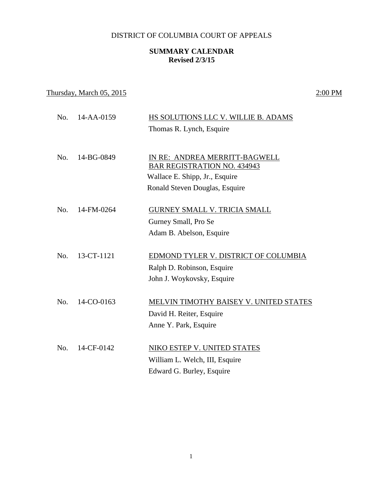## DISTRICT OF COLUMBIA COURT OF APPEALS

## **SUMMARY CALENDAR Revised 2/3/15**

## Thursday, March  $05, 2015$  2:00 PM

| No. | 14-AA-0159 | HS SOLUTIONS LLC V. WILLIE B. ADAMS    |
|-----|------------|----------------------------------------|
|     |            | Thomas R. Lynch, Esquire               |
|     |            |                                        |
| No. | 14-BG-0849 | IN RE: ANDREA MERRITT-BAGWELL          |
|     |            | <b>BAR REGISTRATION NO. 434943</b>     |
|     |            | Wallace E. Shipp, Jr., Esquire         |
|     |            | Ronald Steven Douglas, Esquire         |
|     | 14-FM-0264 |                                        |
| No. |            | <b>GURNEY SMALL V. TRICIA SMALL</b>    |
|     |            | Gurney Small, Pro Se                   |
|     |            | Adam B. Abelson, Esquire               |
| No. | 13-CT-1121 | EDMOND TYLER V. DISTRICT OF COLUMBIA   |
|     |            | Ralph D. Robinson, Esquire             |
|     |            | John J. Woykovsky, Esquire             |
|     |            |                                        |
| No. | 14-CO-0163 | MELVIN TIMOTHY BAISEY V. UNITED STATES |
|     |            | David H. Reiter, Esquire               |
|     |            | Anne Y. Park, Esquire                  |
|     |            |                                        |
| No. | 14-CF-0142 | NIKO ESTEP V. UNITED STATES            |
|     |            | William L. Welch, III, Esquire         |
|     |            | Edward G. Burley, Esquire              |
|     |            |                                        |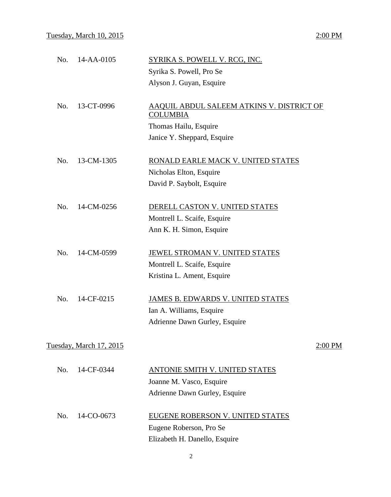| No. | 14-AA-0105                     | SYRIKA S. POWELL V. RCG, INC.                                |
|-----|--------------------------------|--------------------------------------------------------------|
|     |                                | Syrika S. Powell, Pro Se                                     |
|     |                                | Alyson J. Guyan, Esquire                                     |
| No. | 13-CT-0996                     | AAQUIL ABDUL SALEEM ATKINS V. DISTRICT OF<br><b>COLUMBIA</b> |
|     |                                | Thomas Hailu, Esquire                                        |
|     |                                | Janice Y. Sheppard, Esquire                                  |
| No. | 13-CM-1305                     | RONALD EARLE MACK V. UNITED STATES                           |
|     |                                | Nicholas Elton, Esquire                                      |
|     |                                | David P. Saybolt, Esquire                                    |
| No. | 14-CM-0256                     | DERELL CASTON V. UNITED STATES                               |
|     |                                | Montrell L. Scaife, Esquire                                  |
|     |                                | Ann K. H. Simon, Esquire                                     |
| No. | 14-CM-0599                     | JEWEL STROMAN V. UNITED STATES                               |
|     |                                | Montrell L. Scaife, Esquire                                  |
|     |                                | Kristina L. Ament, Esquire                                   |
| No. | 14-CF-0215                     | JAMES B. EDWARDS V. UNITED STATES                            |
|     |                                | Ian A. Williams, Esquire                                     |
|     |                                | Adrienne Dawn Gurley, Esquire                                |
|     | <b>Tuesday, March 17, 2015</b> | 2:00 PM                                                      |
| No. | 14-CF-0344                     |                                                              |
|     |                                | <b>ANTONIE SMITH V. UNITED STATES</b>                        |
|     |                                | Joanne M. Vasco, Esquire                                     |
|     |                                | Adrienne Dawn Gurley, Esquire                                |
| No. | 14-CO-0673                     | EUGENE ROBERSON V. UNITED STATES                             |
|     |                                | Eugene Roberson, Pro Se                                      |
|     |                                | Elizabeth H. Danello, Esquire                                |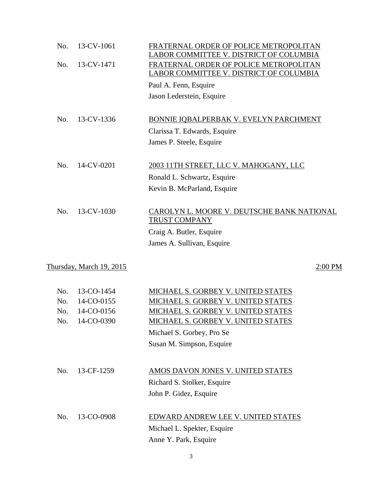| No. | 13-CV-1061               | FRATERNAL ORDER OF POLICE METROPOLITAN<br>LABOR COMMITTEE V. DISTRICT OF COLUMBIA |
|-----|--------------------------|-----------------------------------------------------------------------------------|
| No. | 13-CV-1471               | FRATERNAL ORDER OF POLICE METROPOLITAN<br>LABOR COMMITTEE V. DISTRICT OF COLUMBIA |
|     |                          | Paul A. Fenn, Esquire                                                             |
|     |                          | Jason Lederstein, Esquire                                                         |
| No. | 13-CV-1336               | BONNIE IQBALPERBAK V. EVELYN PARCHMENT                                            |
|     |                          | Clarissa T. Edwards, Esquire                                                      |
|     |                          | James P. Steele, Esquire                                                          |
| No. | 14-CV-0201               | 2003 11TH STREET, LLC V. MAHOGANY, LLC                                            |
|     |                          | Ronald L. Schwartz, Esquire                                                       |
|     |                          | Kevin B. McParland, Esquire                                                       |
| No. | 13-CV-1030               | CAROLYN L. MOORE V. DEUTSCHE BANK NATIONAL<br><b>TRUST COMPANY</b>                |
|     |                          | Craig A. Butler, Esquire                                                          |
|     |                          | James A. Sullivan, Esquire                                                        |
|     | Thursday, March 19, 2015 | 2:00 PM                                                                           |
| No. | 13-CO-1454               | MICHAEL S. GORBEY V. UNITED STATES                                                |
| No. | 14-CO-0155               | MICHAEL S. GORBEY V. UNITED STATES                                                |
| No. | 14-CO-0156               | MICHAEL S. GORBEY V. UNITED STATES                                                |
| No. | 14-CO-0390               | MICHAEL S. GORBEY V. UNITED STATES                                                |
|     |                          | Michael S. Gorbey, Pro Se                                                         |

Susan M. Simpson, Esquire

| No. | 13-CF-1259 | AMOS DAVON JONES V. UNITED STATES  |
|-----|------------|------------------------------------|
|     |            | Richard S. Stolker, Esquire        |
|     |            | John P. Gidez, Esquire             |
|     |            |                                    |
| No. | 13-CO-0908 | EDWARD ANDREW LEE V. UNITED STATES |
|     |            | Michael L. Spekter, Esquire        |
|     |            | Anne Y. Park, Esquire              |

3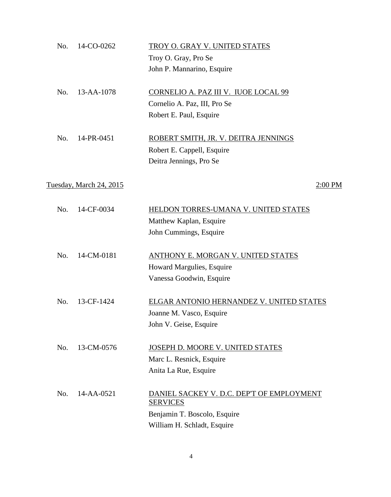| No. | 14-CO-0262              | TROY O. GRAY V. UNITED STATES             |
|-----|-------------------------|-------------------------------------------|
|     |                         | Troy O. Gray, Pro Se                      |
|     |                         | John P. Mannarino, Esquire                |
| No. | 13-AA-1078              | CORNELIO A. PAZ III V. IUOE LOCAL 99      |
|     |                         | Cornelio A. Paz, III, Pro Se              |
|     |                         | Robert E. Paul, Esquire                   |
| No. | 14-PR-0451              | ROBERT SMITH, JR. V. DEITRA JENNINGS      |
|     |                         | Robert E. Cappell, Esquire                |
|     |                         | Deitra Jennings, Pro Se                   |
|     | Tuesday, March 24, 2015 | 2:00 PM                                   |
| No. | 14-CF-0034              | HELDON TORRES-UMANA V. UNITED STATES      |
|     |                         | Matthew Kaplan, Esquire                   |
|     |                         | John Cummings, Esquire                    |
| No. | 14-CM-0181              | <b>ANTHONY E. MORGAN V. UNITED STATES</b> |
|     |                         | Howard Margulies, Esquire                 |
|     |                         | Vanessa Goodwin, Esquire                  |
| No. | 13-CF-1424              | ELGAR ANTONIO HERNANDEZ V. UNITED STATES  |
|     |                         | Joanne M. Vasco, Esquire                  |
|     |                         | John V. Geise, Esquire                    |
| No. | 13-CM-0576              | JOSEPH D. MOORE V. UNITED STATES          |
|     |                         | Marc L. Resnick, Esquire                  |
|     |                         | Anita La Rue, Esquire                     |
| No. | 14-AA-0521              | DANIEL SACKEY V. D.C. DEP'T OF EMPLOYMENT |
|     |                         | <b>SERVICES</b>                           |
|     |                         | Benjamin T. Boscolo, Esquire              |
|     |                         | William H. Schladt, Esquire               |